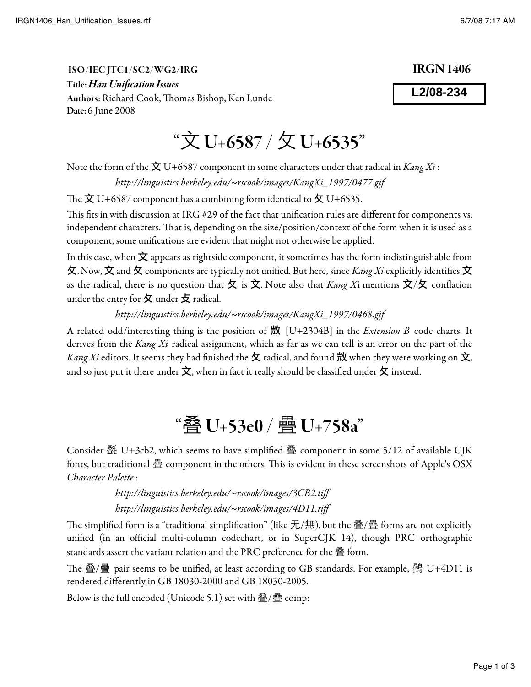## "文 U+6587 / 攵 U+6535"

Note the form of the  $\bigotimes$  U+6587 component in some characters under that radical in Kang Xi :

http://linguistics.berkeley.edu/~rscook/images/KangXi\_1997/0477.gif

The  $\dot{\mathbf{\Sigma}}$  U+6587 component has a combining form identical to  $\dot{\mathbf{\Sigma}}$  U+6535.

This fits in with discussion at IRG #29 of the fact that unification rules are different for components vs. independent characters. That is, depending on the size/position/context of the form when it is used as a component, some unifications are evident that might not otherwise be applied.

In this case, when  $\dot{\mathbf{\Sigma}}$  appears as rightside component, it sometimes has the form indistinguishable from 又. Now,  $\hat{\bm{\chi}}$  and  $\bm{\chi}$  components are typically not unified. But here, since *Kang Xi* explicitly identifies  $\hat{\bm{\chi}}$ as the radical, there is no question that  $\varphi$  is  $\dot{\varphi}$ . Note also that *Kang X*i mentions  $\dot{\varphi}/\varphi$  conflation under the entry for  $\sigma$  under  $\sigma$  radical.

http://linguistics.berkeley.edu/~rscook/images/KangXi\_1997/0468.gif

A related odd/interesting thing is the position of  $\mathbb{H}$  [U+2304B] in the *Extension B* code charts. It derives from the Kang Xi radical assignment, which as far as we can tell is an error on the part of the Kang Xi editors. It seems they had finished the  $\chi$  radical, and found  $\mathbb H$  when they were working on  $\chi$ , and so just put it there under  $\dot{\mathbf{\mathsf{X}}}$ , when in fact it really should be classified under  $\mathbf{\mathsf{\mathsf{X}}}$  instead.

## "叠 U+53e0 / 疊 U+758a"

Consider 㲲 U+3cb2, which seems to have simpli"ed 叠 component in some 5/12 of available CJK fonts, but traditional 疊 component in the others. This is evident in these screenshots of Apple's OSX Character Palette :

> http://linguistics.berkeley.edu/~rscook/images/3CB2.tiff http://linguistics.berkeley.edu/~rscook/images/4D11.tiff

The simplified form is a "traditional simplification" (like 无/無), but the 叠/疊 forms are not explicitly unified (in an official multi-column codechart, or in SuperCJK 14), though PRC orthographic standards assert the variant relation and the PRC preference for the 叠 form.

!e 叠/疊 pair seems to be uni"ed, at least according to GB standards. For example, 䴑 U+4D11 is rendered di#erently in GB 18030-2000 and GB 18030-2005.

Below is the full encoded (Unicode 5.1) set with 叠/疊 comp:

**L2/08-234**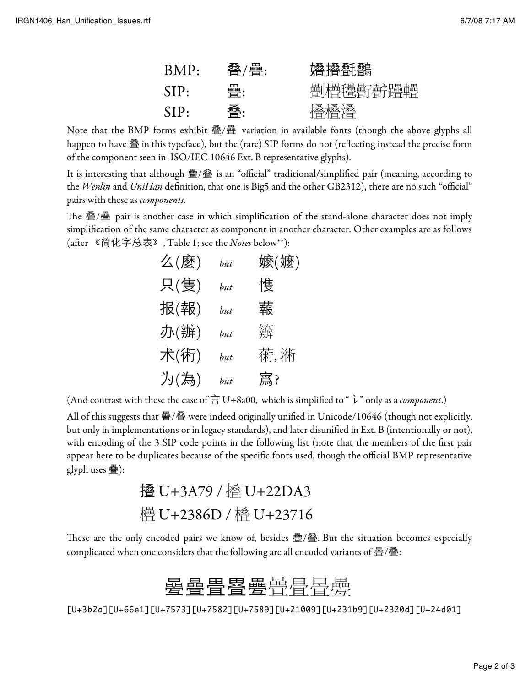| BMP: | 一 一 一 一 一 一 一 一 一 一 一 一 一 一 一 | 婚搔氃鷭 |
|------|-------------------------------|------|
| SIP: | 疊:                            |      |
| SIP: | 叠:                            | 櫓櫓叠  |

Note that the BMP forms exhibit 叠/疊 variation in available fonts (though the above glyphs all happen to have 叠 in this typeface), but the (rare) SIP forms do not (reflecting instead the precise form of the component seen in ISO/IEC 10646 Ext. B representative glyphs).

It is interesting that although 疊/叠 is an "official" traditional/simplified pair (meaning, according to the Wenlin and UniHan definition, that one is Big5 and the other GB2312), there are no such "official" pairs with these as *components*.

The 叠/疊 pair is another case in which simplification of the stand-alone character does not imply simplification of the same character as component in another character. Other examples are as follows (after 《简化字总表》, Table 1; see the *Notes* below\*\*):

| 么(麼) | but | 嬷(嬷) |
|------|-----|------|
| 只(隻) | but | 愯    |
| 报(報) | but | 蕔    |
| 办(辦) | but | 籬    |
| 术(術) | hut | 葕,淅  |
| 为(為) | but | 寪?   |

(And contrast with these the case of  $\equiv$  U+8a00, which is simplified to "  $\vec{\tau}$  " only as a *component*.)

All of this suggests that 疊/叠 were indeed originally unified in Unicode/10646 (though not explicitly, but only in implementations or in legacy standards), and later disunified in Ext. B (intentionally or not), with encoding of the 3 SIP code points in the following list (note that the members of the first pair appear here to be duplicates because of the specific fonts used, though the official BMP representative glyph uses 疊):

㩹 U+3A79 / ( U+22DA3 " U+2386D / ) U+23716

These are the only encoded pairs we know of, besides 疊/叠. But the situation becomes especially complicated when one considers that the following are all encoded variants of 疊/叠:

## 墨疊畳疂畳鷪

[U+3b2a][U+66e1][U+7573][U+7582][U+7589][U+21009][U+231b9][U+2320d][U+24d01]